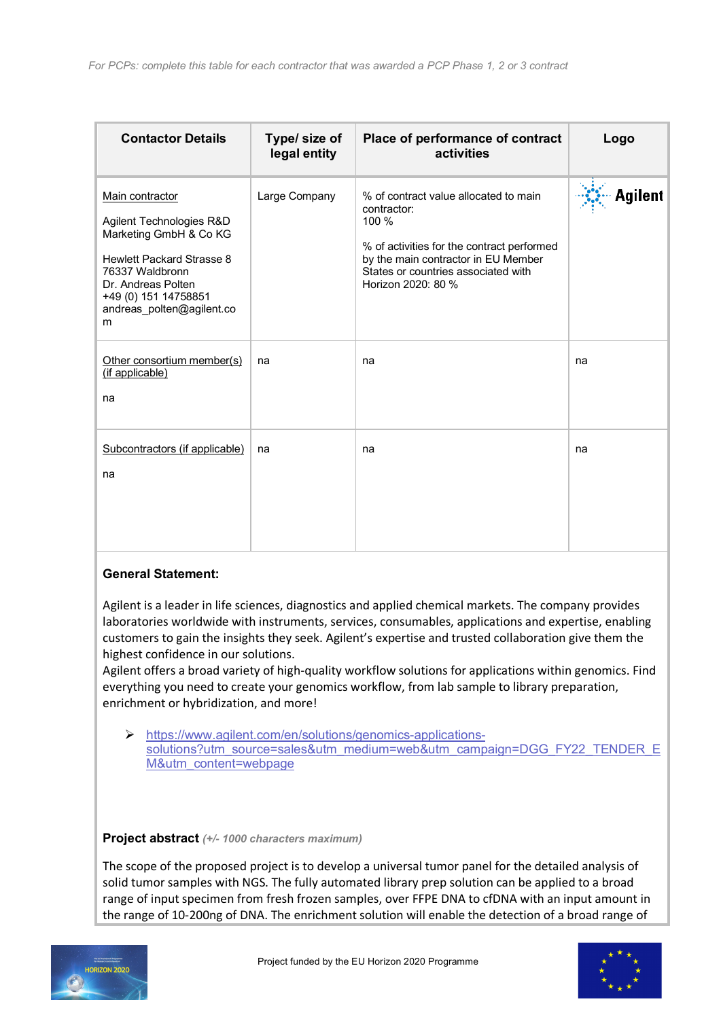| <b>Contactor Details</b>                                                                                                                                                                                     | Type/ size of<br>legal entity | Place of performance of contract<br>activities                                                                                                                                                                  | Logo           |
|--------------------------------------------------------------------------------------------------------------------------------------------------------------------------------------------------------------|-------------------------------|-----------------------------------------------------------------------------------------------------------------------------------------------------------------------------------------------------------------|----------------|
| Main contractor<br>Agilent Technologies R&D<br>Marketing GmbH & Co KG<br><b>Hewlett Packard Strasse 8</b><br>76337 Waldbronn<br>Dr. Andreas Polten<br>+49 (0) 151 14758851<br>andreas polten@agilent.co<br>m | Large Company                 | % of contract value allocated to main<br>contractor:<br>100 %<br>% of activities for the contract performed<br>by the main contractor in EU Member<br>States or countries associated with<br>Horizon 2020: 80 % | <b>Agilent</b> |
| Other consortium member(s)<br>(if applicable)<br>na                                                                                                                                                          | na                            | na                                                                                                                                                                                                              | na             |
| Subcontractors (if applicable)<br>na                                                                                                                                                                         | na                            | na                                                                                                                                                                                                              | na             |

## **General Statement:**

Agilent is a leader in life sciences, diagnostics and applied chemical markets. The company provides laboratories worldwide with instruments, services, consumables, applications and expertise, enabling customers to gain the insights they seek. Agilent's expertise and trusted collaboration give them the highest confidence in our solutions.

Agilent offers a broad variety of high-quality workflow solutions for applications within genomics. Find everything you need to create your genomics workflow, from lab sample to library preparation, enrichment or hybridization, and more!

Ø https://www.agilent.com/en/solutions/genomics-applicationssolutions?utm\_source=sales&utm\_medium=web&utm\_campaign=DGG\_FY22\_TENDER\_E M&utm\_content=webpage

**Project abstract** *(+/- 1000 characters maximum)*

The scope of the proposed project is to develop a universal tumor panel for the detailed analysis of solid tumor samples with NGS. The fully automated library prep solution can be applied to a broad range of input specimen from fresh frozen samples, over FFPE DNA to cfDNA with an input amount in the range of 10-200ng of DNA. The enrichment solution will enable the detection of a broad range of